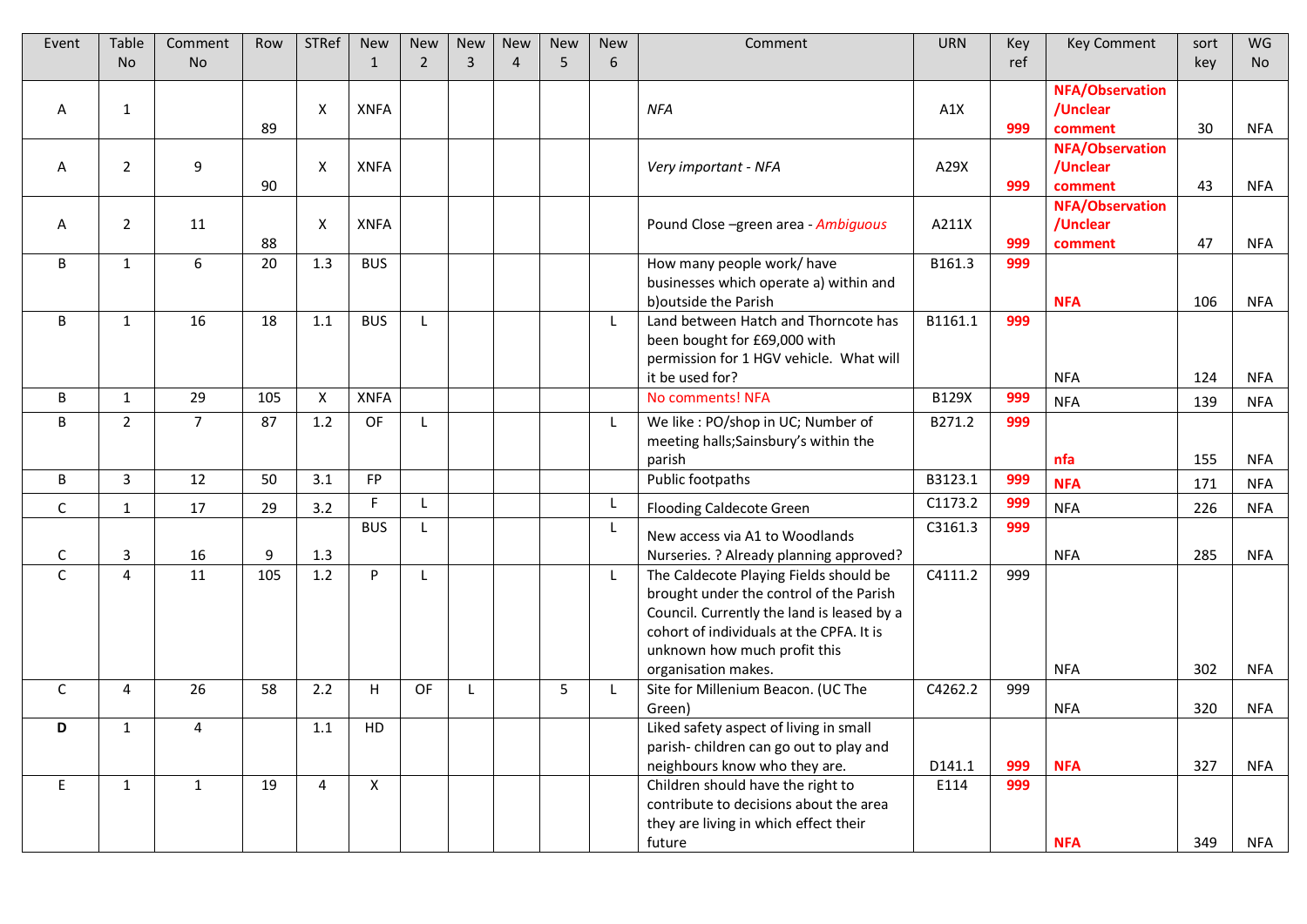| Event        | Table          | Comment        | Row | <b>STRef</b> | <b>New</b>   | <b>New</b>     | <b>New</b>   | <b>New</b>     | <b>New</b> | <b>New</b> | Comment                                                                   | <b>URN</b> | Key | <b>Key Comment</b>  | sort | <b>WG</b>  |
|--------------|----------------|----------------|-----|--------------|--------------|----------------|--------------|----------------|------------|------------|---------------------------------------------------------------------------|------------|-----|---------------------|------|------------|
|              | <b>No</b>      | <b>No</b>      |     |              | $\mathbf{1}$ | $\overline{2}$ | 3            | $\overline{4}$ | 5          | 6          |                                                                           |            | ref |                     | key  | <b>No</b>  |
|              |                |                |     |              |              |                |              |                |            |            |                                                                           |            |     | NFA/Observation     |      |            |
| A            | $\mathbf{1}$   |                |     | X            | <b>XNFA</b>  |                |              |                |            |            | <b>NFA</b>                                                                | A1X        |     | /Unclear            |      |            |
|              |                |                | 89  |              |              |                |              |                |            |            |                                                                           |            | 999 | comment             | 30   | NFA        |
|              |                |                |     |              |              |                |              |                |            |            |                                                                           |            |     | NFA/Observation     |      |            |
| A            | $\overline{2}$ | 9              | 90  | X            | <b>XNFA</b>  |                |              |                |            |            | Very important - NFA                                                      | A29X       | 999 | /Unclear<br>comment | 43   | NFA        |
|              |                |                |     |              |              |                |              |                |            |            |                                                                           |            |     | NFA/Observation     |      |            |
| A            | $\overline{2}$ | 11             |     | X            | <b>XNFA</b>  |                |              |                |            |            | Pound Close -green area - Ambiguous                                       | A211X      |     | /Unclear            |      |            |
|              |                |                | 88  |              |              |                |              |                |            |            |                                                                           |            | 999 | comment             | 47   | NFA        |
| B            | $\mathbf{1}$   | 6              | 20  | 1.3          | <b>BUS</b>   |                |              |                |            |            | How many people work/ have                                                | B161.3     | 999 |                     |      |            |
|              |                |                |     |              |              |                |              |                |            |            | businesses which operate a) within and                                    |            |     |                     |      |            |
|              |                |                |     |              |              |                |              |                |            |            | b) outside the Parish                                                     |            |     | <b>NFA</b>          | 106  | <b>NFA</b> |
| B            | $\mathbf{1}$   | 16             | 18  | 1.1          | <b>BUS</b>   | L              |              |                |            | L          | Land between Hatch and Thorncote has                                      | B1161.1    | 999 |                     |      |            |
|              |                |                |     |              |              |                |              |                |            |            | been bought for £69,000 with                                              |            |     |                     |      |            |
|              |                |                |     |              |              |                |              |                |            |            | permission for 1 HGV vehicle. What will<br>it be used for?                |            |     | <b>NFA</b>          | 124  | <b>NFA</b> |
| B            | $\mathbf{1}$   | 29             | 105 | X            | <b>XNFA</b>  |                |              |                |            |            | No comments! NFA                                                          | B129X      | 999 |                     |      |            |
| B            | $\overline{2}$ | $\overline{7}$ | 87  | 1.2          | OF           |                |              |                |            |            | We like : PO/shop in UC; Number of                                        | B271.2     | 999 | <b>NFA</b>          | 139  | <b>NFA</b> |
|              |                |                |     |              |              |                |              |                |            |            | meeting halls; Sainsbury's within the                                     |            |     |                     |      |            |
|              |                |                |     |              |              |                |              |                |            |            | parish                                                                    |            |     | nfa                 | 155  | <b>NFA</b> |
| B            | 3              | 12             | 50  | 3.1          | <b>FP</b>    |                |              |                |            |            | <b>Public footpaths</b>                                                   | B3123.1    | 999 | <b>NFA</b>          | 171  | <b>NFA</b> |
| $\mathsf{C}$ | $\mathbf{1}$   | 17             | 29  | 3.2          | F.           |                |              |                |            |            | <b>Flooding Caldecote Green</b>                                           | C1173.2    | 999 | <b>NFA</b>          | 226  | <b>NFA</b> |
|              |                |                |     |              | <b>BUS</b>   |                |              |                |            |            |                                                                           | C3161.3    | 999 |                     |      |            |
| $\mathsf{C}$ | 3              | 16             | 9   | 1.3          |              |                |              |                |            |            | New access via A1 to Woodlands<br>Nurseries. ? Already planning approved? |            |     | <b>NFA</b>          | 285  | <b>NFA</b> |
| $\mathsf{C}$ | 4              | 11             | 105 | 1.2          | P            | L              |              |                |            | L          | The Caldecote Playing Fields should be                                    | C4111.2    | 999 |                     |      |            |
|              |                |                |     |              |              |                |              |                |            |            | brought under the control of the Parish                                   |            |     |                     |      |            |
|              |                |                |     |              |              |                |              |                |            |            | Council. Currently the land is leased by a                                |            |     |                     |      |            |
|              |                |                |     |              |              |                |              |                |            |            | cohort of individuals at the CPFA. It is                                  |            |     |                     |      |            |
|              |                |                |     |              |              |                |              |                |            |            | unknown how much profit this                                              |            |     |                     |      |            |
|              |                |                |     |              |              |                |              |                |            |            | organisation makes.                                                       |            |     | <b>NFA</b>          | 302  | NFA        |
| C            | 4              | 26             | 58  | 2.2          | H.           | OF             | $\mathsf{L}$ |                | 5          |            | Site for Millenium Beacon. (UC The                                        | C4262.2    | 999 |                     |      |            |
|              |                |                |     |              |              |                |              |                |            |            | Green)                                                                    |            |     | <b>NFA</b>          | 320  | <b>NFA</b> |
| D            | $\mathbf{1}$   | 4              |     | 1.1          | HD           |                |              |                |            |            | Liked safety aspect of living in small                                    |            |     |                     |      |            |
|              |                |                |     |              |              |                |              |                |            |            | parish-children can go out to play and<br>neighbours know who they are.   | D141.1     | 999 | <b>NFA</b>          | 327  | <b>NFA</b> |
| E            | $\mathbf{1}$   | 1              | 19  | 4            | X            |                |              |                |            |            | Children should have the right to                                         | E114       | 999 |                     |      |            |
|              |                |                |     |              |              |                |              |                |            |            | contribute to decisions about the area                                    |            |     |                     |      |            |
|              |                |                |     |              |              |                |              |                |            |            | they are living in which effect their                                     |            |     |                     |      |            |
|              |                |                |     |              |              |                |              |                |            |            | future                                                                    |            |     | <b>NFA</b>          | 349  | NFA        |